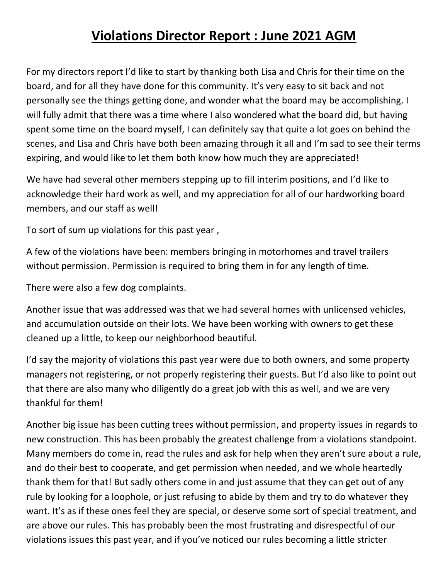## **Violations Director Report : June 2021 AGM**

For my directors report I'd like to start by thanking both Lisa and Chris for their time on the board, and for all they have done for this community. It's very easy to sit back and not personally see the things getting done, and wonder what the board may be accomplishing. I will fully admit that there was a time where I also wondered what the board did, but having spent some time on the board myself, I can definitely say that quite a lot goes on behind the scenes, and Lisa and Chris have both been amazing through it all and I'm sad to see their terms expiring, and would like to let them both know how much they are appreciated!

We have had several other members stepping up to fill interim positions, and I'd like to acknowledge their hard work as well, and my appreciation for all of our hardworking board members, and our staff as well!

To sort of sum up violations for this past year ,

A few of the violations have been: members bringing in motorhomes and travel trailers without permission. Permission is required to bring them in for any length of time.

There were also a few dog complaints.

Another issue that was addressed was that we had several homes with unlicensed vehicles, and accumulation outside on their lots. We have been working with owners to get these cleaned up a little, to keep our neighborhood beautiful.

I'd say the majority of violations this past year were due to both owners, and some property managers not registering, or not properly registering their guests. But I'd also like to point out that there are also many who diligently do a great job with this as well, and we are very thankful for them!

Another big issue has been cutting trees without permission, and property issues in regards to new construction. This has been probably the greatest challenge from a violations standpoint. Many members do come in, read the rules and ask for help when they aren't sure about a rule, and do their best to cooperate, and get permission when needed, and we whole heartedly thank them for that! But sadly others come in and just assume that they can get out of any rule by looking for a loophole, or just refusing to abide by them and try to do whatever they want. It's as if these ones feel they are special, or deserve some sort of special treatment, and are above our rules. This has probably been the most frustrating and disrespectful of our violations issues this past year, and if you've noticed our rules becoming a little stricter